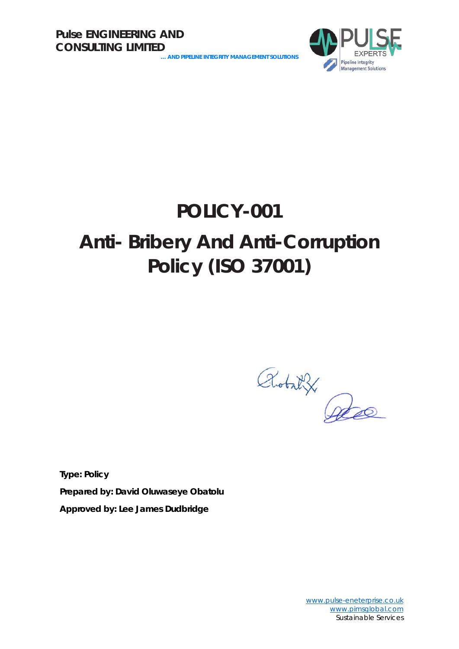**… AND PIPELINE INTEGRITY MANAGEMENT SOLUTIONS**



## **POLICY-001**

## **Anti- Bribery And Anti-Corruption Policy (ISO 37001)**

Robat X

**Type: Policy Prepared by: David Oluwaseye Obatolu Approved by: Lee James Dudbridge**

> [www.pulse-eneterprise.co.uk](http://www.pulse-eneterprise.co.uk/) [www.pimsglobal.com](http://www.pimsglobal.com/) Sustainable Services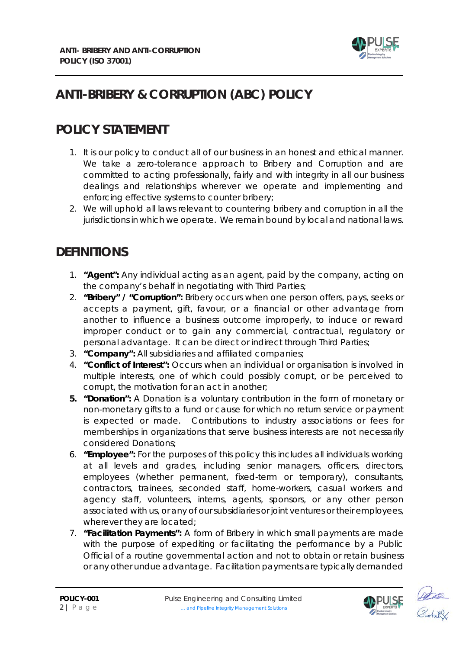

### **ANTI-BRIBERY & CORRUPTION (ABC) POLICY**

#### **POLICY STATEMENT**

- 1. It is our policy to conduct all of our business in an honest and ethical manner. We take a zero-tolerance approach to Bribery and Corruption and are committed to acting professionally, fairly and with integrity in all our business dealings and relationships wherever we operate and implementing and enforcing effective systems to counter bribery;
- 2. We will uphold all laws relevant to countering bribery and corruption in all the jurisdictions in which we operate. We remain bound by local and national laws.

#### **DEFINITIONS**

- 1. **"Agent":** Any individual acting as an agent, paid by the company, acting on the company's behalf in negotiating with Third Parties;
- 2. **"Bribery" / "Corruption":** Bribery occurs when one person offers, pays, seeks or accepts a payment, gift, favour, or a financial or other advantage from another to influence a business outcome improperly, to induce or reward improper conduct or to gain any commercial, contractual, regulatory or personal advantage. It can be direct or indirect through Third Parties;
- 3. **"Company":** All subsidiaries and affiliated companies;
- 4. **"Conflict of Interest":** Occurs when an individual or organisation is involved in multiple interests, one of which could possibly corrupt, or be perceived to corrupt, the motivation for an act in another;
- **5. "Donation":** A Donation is a voluntary contribution in the form of monetary or non-monetary gifts to a fund or cause for which no return service or payment is expected or made. Contributions to industry associations or fees for memberships in organizations that serve business interests are not necessarily considered Donations;
- 6. **"Employee":** For the purposes of this policy this includes all individuals working at all levels and grades, including senior managers, officers, directors, employees (whether permanent, fixed-term or temporary), consultants, contractors, trainees, seconded staff, home-workers, casual workers and agency staff, volunteers, interns, agents, sponsors, or any other person associated with us, or any of our subsidiaries or joint ventures or their employees, wherever they are located;
- 7. **"Facilitation Payments":** A form of Bribery in which small payments are made with the purpose of expediting or facilitating the performance by a Public Official of a routine governmental action and not to obtain or retain business or any other undue advantage. Facilitation payments are typically demanded



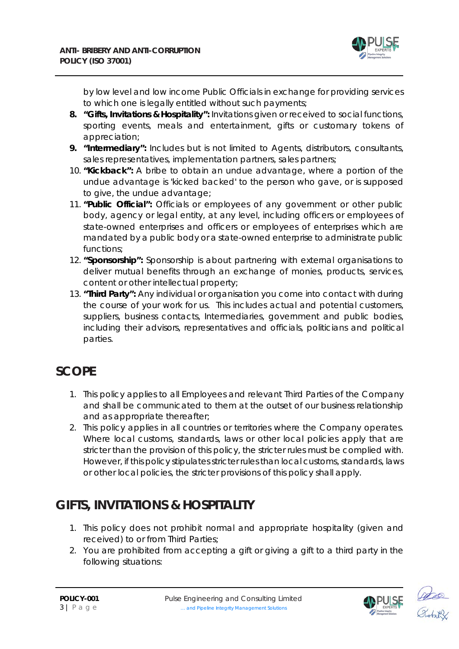

by low level and low income Public Officials in exchange for providing services to which one is legally entitled without such payments;

- **8. "Gifts, Invitations & Hospitality":** Invitations given or received to social functions, sporting events, meals and entertainment, gifts or customary tokens of appreciation;
- **9. "Intermediary":** Includes but is not limited to Agents, distributors, consultants, sales representatives, implementation partners, sales partners;
- 10. **"Kickback":** A bribe to obtain an undue advantage, where a portion of the undue advantage is 'kicked backed' to the person who gave, or is supposed to give, the undue advantage;
- 11. **"Public Official":** Officials or employees of any government or other public body, agency or legal entity, at any level, including officers or employees of state-owned enterprises and officers or employees of enterprises which are mandated by a public body or a state-owned enterprise to administrate public functions;
- 12. **"Sponsorship":** Sponsorship is about partnering with external organisations to deliver mutual benefits through an exchange of monies, products, services, content or other intellectual property;
- 13. **"Third Party":** Any individual or organisation you come into contact with during the course of your work for us. This includes actual and potential customers, suppliers, business contacts, Intermediaries, government and public bodies, including their advisors, representatives and officials, politicians and political parties.

#### **SCOPE**

- 1. This policy applies to all Employees and relevant Third Parties of the Company and shall be communicated to them at the outset of our business relationship and as appropriate thereafter;
- 2. This policy applies in all countries or territories where the Company operates. Where local customs, standards, laws or other local policies apply that are stricter than the provision of this policy, the stricter rules must be complied with. However, if this policy stipulates stricter rules than local customs, standards, laws or other local policies, the stricter provisions of this policy shall apply.

### **GIFTS, INVITATIONS & HOSPITALITY**

- 1. This policy does not prohibit normal and appropriate hospitality (given and received) to or from Third Parties;
- 2. You are prohibited from accepting a gift or giving a gift to a third party in the following situations:



ates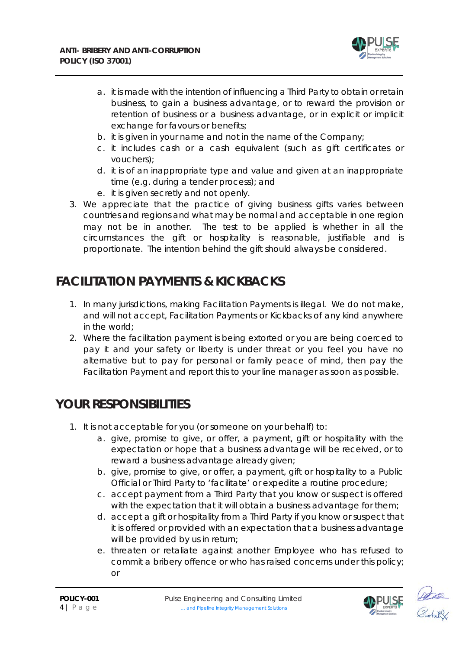

- a. it is made with the intention of influencing a Third Party to obtain or retain business, to gain a business advantage, or to reward the provision or retention of business or a business advantage, or in explicit or implicit exchange for favours or benefits;
- b. it is given in your name and not in the name of the Company;
- c. it includes cash or a cash equivalent (such as gift certificates or vouchers);
- d. it is of an inappropriate type and value and given at an inappropriate time (e.g. during a tender process); and
- e. it is given secretly and not openly.
- 3. We appreciate that the practice of giving business gifts varies between countries and regions and what may be normal and acceptable in one region may not be in another. The test to be applied is whether in all the circumstances the gift or hospitality is reasonable, justifiable and is proportionate. The intention behind the gift should always be considered.

#### **FACILITATION PAYMENTS & KICKBACKS**

- 1. In many jurisdictions, making Facilitation Payments is illegal. We do not make, and will not accept, Facilitation Payments or Kickbacks of any kind anywhere in the world;
- 2. Where the facilitation payment is being extorted or you are being coerced to pay it and your safety or liberty is under threat or you feel you have no alternative but to pay for personal or family peace of mind, then pay the Facilitation Payment and report this to your line manager as soon as possible.

#### **YOUR RESPONSIBILITIES**

- 1. It is not acceptable for you (or someone on your behalf) to:
	- a. give, promise to give, or offer, a payment, gift or hospitality with the expectation or hope that a business advantage will be received, or to reward a business advantage already given;
	- b. give, promise to give, or offer, a payment, gift or hospitality to a Public Official or Third Party to 'facilitate' or expedite a routine procedure;
	- c. accept payment from a Third Party that you know or suspect is offered with the expectation that it will obtain a business advantage for them;
	- d. accept a gift or hospitality from a Third Party if you know or suspect that it is offered or provided with an expectation that a business advantage will be provided by us in return;
	- e. threaten or retaliate against another Employee who has refused to commit a bribery offence or who has raised concerns under this policy; or



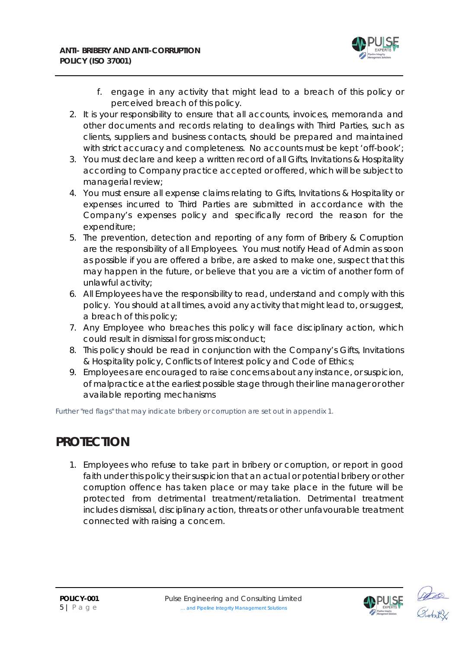

- f. engage in any activity that might lead to a breach of this policy or perceived breach of this policy.
- 2. It is your responsibility to ensure that all accounts, invoices, memoranda and other documents and records relating to dealings with Third Parties, such as clients, suppliers and business contacts, should be prepared and maintained with strict accuracy and completeness. No accounts must be kept 'off-book';
- 3. You must declare and keep a written record of all Gifts, Invitations & Hospitality according to Company practice accepted or offered, which will be subject to managerial review;
- 4. You must ensure all expense claims relating to Gifts, Invitations & Hospitality or expenses incurred to Third Parties are submitted in accordance with the Company's expenses policy and specifically record the reason for the expenditure;
- 5. The prevention, detection and reporting of any form of Bribery & Corruption are the responsibility of all Employees. You must notify Head of Admin as soon as possible if you are offered a bribe, are asked to make one, suspect that this may happen in the future, or believe that you are a victim of another form of unlawful activity;
- 6. All Employees have the responsibility to read, understand and comply with this policy. You should at all times, avoid any activity that might lead to, or suggest, a breach of this policy;
- 7. Any Employee who breaches this policy will face disciplinary action, which could result in dismissal for gross misconduct;
- 8. This policy should be read in conjunction with the Company's Gifts, Invitations & Hospitality policy, Conflicts of Interest policy and Code of Ethics;
- 9. Employees are encouraged to raise concerns about any instance, or suspicion, of malpractice at the earliest possible stage through their line manager or other available reporting mechanisms

*Further "red flags" that may indicate bribery or corruption are set out in appendix 1.*

#### **PROTECTION**

1. Employees who refuse to take part in bribery or corruption, or report in good faith under this policy their suspicion that an actual or potential bribery or other corruption offence has taken place or may take place in the future will be protected from detrimental treatment/retaliation. Detrimental treatment includes dismissal, disciplinary action, threats or other unfavourable treatment connected with raising a concern.



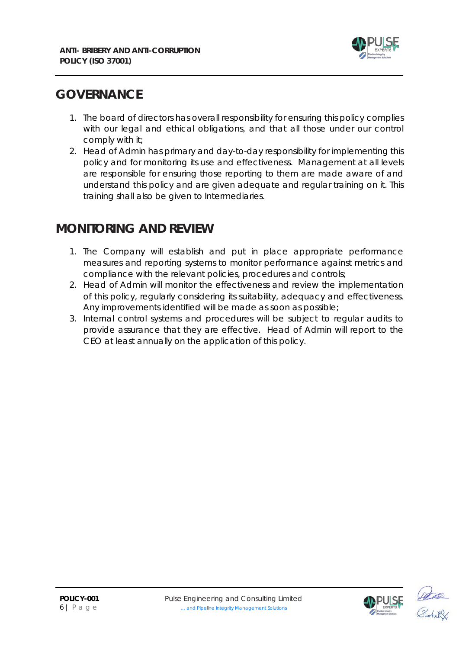

#### **GOVERNANCE**

- 1. The board of directors has overall responsibility for ensuring this policy complies with our legal and ethical obligations, and that all those under our control comply with it;
- 2. Head of Admin has primary and day-to-day responsibility for implementing this policy and for monitoring its use and effectiveness. Management at all levels are responsible for ensuring those reporting to them are made aware of and understand this policy and are given adequate and regular training on it. This training shall also be given to Intermediaries.

#### **MONITORING AND REVIEW**

- 1. The Company will establish and put in place appropriate performance measures and reporting systems to monitor performance against metrics and compliance with the relevant policies, procedures and controls;
- 2. Head of Admin will monitor the effectiveness and review the implementation of this policy, regularly considering its suitability, adequacy and effectiveness. Any improvements identified will be made as soon as possible;
- 3. Internal control systems and procedures will be subject to regular audits to provide assurance that they are effective. Head of Admin will report to the CEO at least annually on the application of this policy.

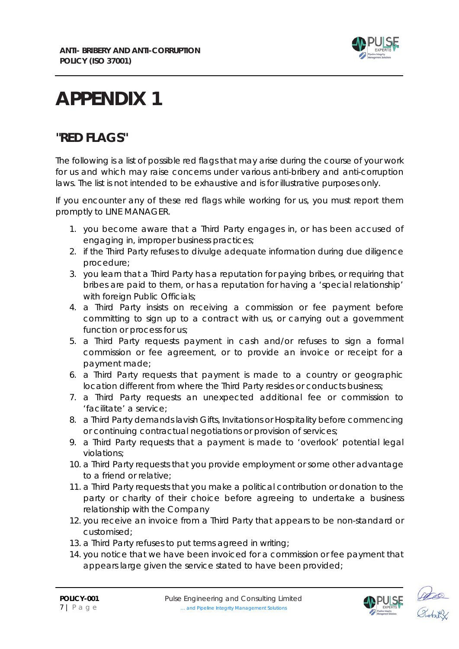

# **APPENDIX 1**

#### **"RED FLAGS"**

The following is a list of possible red flags that may arise during the course of your work for us and which may raise concerns under various anti-bribery and anti-corruption laws. The list is not intended to be exhaustive and is for illustrative purposes only.

If you encounter any of these red flags while working for us, you must report them promptly to LINE MANAGER.

- 1. you become aware that a Third Party engages in, or has been accused of engaging in, improper business practices;
- 2. if the Third Party refuses to divulge adequate information during due diligence procedure;
- 3. you learn that a Third Party has a reputation for paying bribes, or requiring that bribes are paid to them, or has a reputation for having a 'special relationship' with foreign Public Officials;
- 4. a Third Party insists on receiving a commission or fee payment before committing to sign up to a contract with us, or carrying out a government function or process for us;
- 5. a Third Party requests payment in cash and/or refuses to sign a formal commission or fee agreement, or to provide an invoice or receipt for a payment made;
- 6. a Third Party requests that payment is made to a country or geographic location different from where the Third Party resides or conducts business;
- 7. a Third Party requests an unexpected additional fee or commission to 'facilitate' a service;
- 8. a Third Party demands lavish Gifts, Invitations or Hospitality before commencing or continuing contractual negotiations or provision of services;
- 9. a Third Party requests that a payment is made to 'overlook' potential legal violations;
- 10. a Third Party requests that you provide employment or some other advantage to a friend or relative;
- 11. a Third Party requests that you make a political contribution or donation to the party or charity of their choice before agreeing to undertake a business relationship with the Company
- 12. you receive an invoice from a Third Party that appears to be non-standard or customised;
- 13. a Third Party refuses to put terms agreed in writing;
- 14. you notice that we have been invoiced for a commission or fee payment that appears large given the service stated to have been provided;